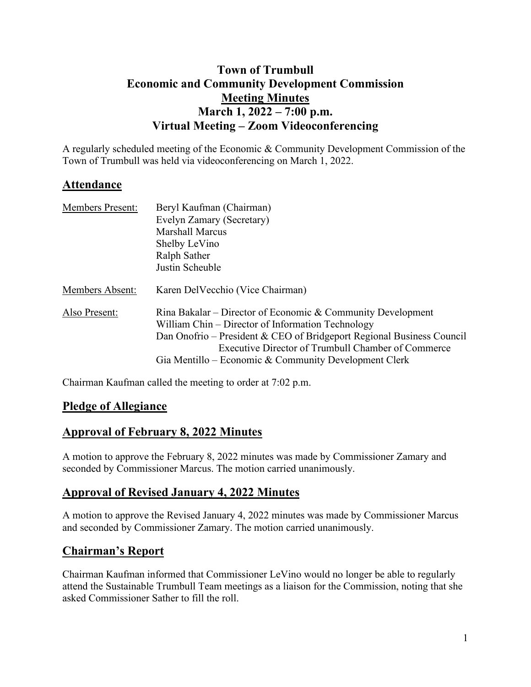# **Town of Trumbull Economic and Community Development Commission Meeting Minutes March 1, 2022 – 7:00 p.m. Virtual Meeting – Zoom Videoconferencing**

A regularly scheduled meeting of the Economic & Community Development Commission of the Town of Trumbull was held via videoconferencing on March 1, 2022.

# **Attendance**

| <b>Members Present:</b> | Beryl Kaufman (Chairman)                                              |
|-------------------------|-----------------------------------------------------------------------|
|                         | Evelyn Zamary (Secretary)                                             |
|                         | <b>Marshall Marcus</b>                                                |
|                         | Shelby LeVino                                                         |
|                         | Ralph Sather                                                          |
|                         | Justin Scheuble                                                       |
| Members Absent:         | Karen Del Vecchio (Vice Chairman)                                     |
| Also Present:           | Rina Bakalar – Director of Economic & Community Development           |
|                         | William Chin – Director of Information Technology                     |
|                         | Dan Onofrio – President & CEO of Bridgeport Regional Business Council |
|                         | Executive Director of Trumbull Chamber of Commerce                    |
|                         | Gia Mentillo – Economic & Community Development Clerk                 |

Chairman Kaufman called the meeting to order at 7:02 p.m.

# **Pledge of Allegiance**

### **Approval of February 8, 2022 Minutes**

A motion to approve the February 8, 2022 minutes was made by Commissioner Zamary and seconded by Commissioner Marcus. The motion carried unanimously.

# **Approval of Revised January 4, 2022 Minutes**

A motion to approve the Revised January 4, 2022 minutes was made by Commissioner Marcus and seconded by Commissioner Zamary. The motion carried unanimously.

# **Chairman's Report**

Chairman Kaufman informed that Commissioner LeVino would no longer be able to regularly attend the Sustainable Trumbull Team meetings as a liaison for the Commission, noting that she asked Commissioner Sather to fill the roll.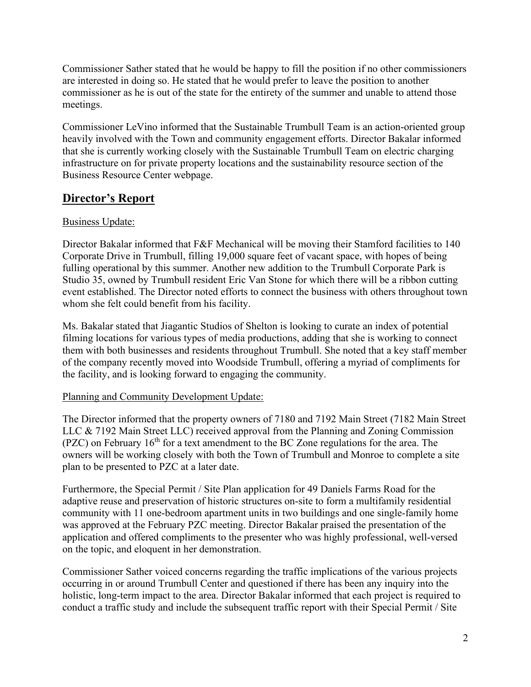Commissioner Sather stated that he would be happy to fill the position if no other commissioners are interested in doing so. He stated that he would prefer to leave the position to another commissioner as he is out of the state for the entirety of the summer and unable to attend those meetings.

Commissioner LeVino informed that the Sustainable Trumbull Team is an action-oriented group heavily involved with the Town and community engagement efforts. Director Bakalar informed that she is currently working closely with the Sustainable Trumbull Team on electric charging infrastructure on for private property locations and the sustainability resource section of the Business Resource Center webpage.

# **Director's Report**

### Business Update:

Director Bakalar informed that F&F Mechanical will be moving their Stamford facilities to 140 Corporate Drive in Trumbull, filling 19,000 square feet of vacant space, with hopes of being fulling operational by this summer. Another new addition to the Trumbull Corporate Park is Studio 35, owned by Trumbull resident Eric Van Stone for which there will be a ribbon cutting event established. The Director noted efforts to connect the business with others throughout town whom she felt could benefit from his facility.

Ms. Bakalar stated that Jiagantic Studios of Shelton is looking to curate an index of potential filming locations for various types of media productions, adding that she is working to connect them with both businesses and residents throughout Trumbull. She noted that a key staff member of the company recently moved into Woodside Trumbull, offering a myriad of compliments for the facility, and is looking forward to engaging the community.

#### Planning and Community Development Update:

The Director informed that the property owners of 7180 and 7192 Main Street (7182 Main Street LLC & 7192 Main Street LLC) received approval from the Planning and Zoning Commission (PZC) on February  $16<sup>th</sup>$  for a text amendment to the BC Zone regulations for the area. The owners will be working closely with both the Town of Trumbull and Monroe to complete a site plan to be presented to PZC at a later date.

Furthermore, the Special Permit / Site Plan application for 49 Daniels Farms Road for the adaptive reuse and preservation of historic structures on-site to form a multifamily residential community with 11 one-bedroom apartment units in two buildings and one single-family home was approved at the February PZC meeting. Director Bakalar praised the presentation of the application and offered compliments to the presenter who was highly professional, well-versed on the topic, and eloquent in her demonstration.

Commissioner Sather voiced concerns regarding the traffic implications of the various projects occurring in or around Trumbull Center and questioned if there has been any inquiry into the holistic, long-term impact to the area. Director Bakalar informed that each project is required to conduct a traffic study and include the subsequent traffic report with their Special Permit / Site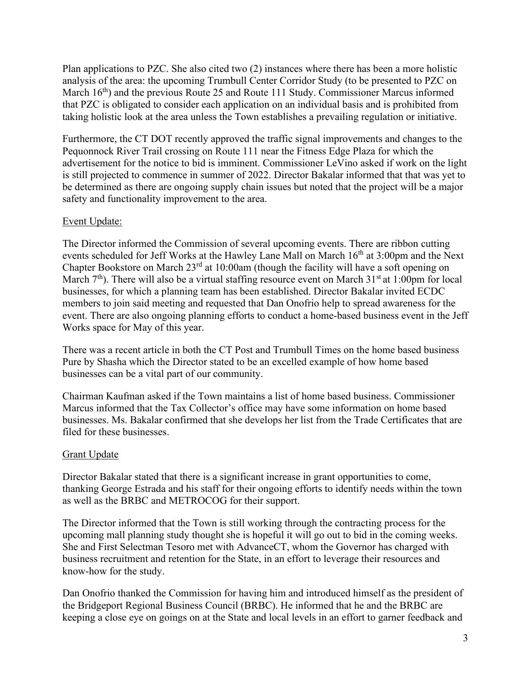Plan applications to PZC. She also cited two (2) instances where there has been a more holistic analysis of the area: the upcoming Trumbull Center Corridor Study (to be presented to PZC on March  $16<sup>th</sup>$ ) and the previous Route 25 and Route 111 Study. Commissioner Marcus informed that PZC is obligated to consider each application on an individual basis and is prohibited from taking holistic look at the area unless the Town establishes a prevailing regulation or initiative.

Furthermore, the CT DOT recently approved the traffic signal improvements and changes to the Pequonnock River Trail crossing on Route 111 near the Fitness Edge Plaza for which the advertisement for the notice to bid is imminent. Commissioner LeVino asked if work on the light is still projected to commence in summer of 2022. Director Bakalar informed that that was yet to be determined as there are ongoing supply chain issues but noted that the project will be a major safety and functionality improvement to the area.

#### Event Update:

The Director informed the Commission of several upcoming events. There are ribbon cutting events scheduled for Jeff Works at the Hawley Lane Mall on March 16<sup>th</sup> at 3:00pm and the Next Chapter Bookstore on March 23rd at 10:00am (though the facility will have a soft opening on March  $7<sup>th</sup>$ ). There will also be a virtual staffing resource event on March 31<sup>st</sup> at 1:00pm for local businesses, for which a planning team has been established. Director Bakalar invited ECDC members to join said meeting and requested that Dan Onofrio help to spread awareness for the event. There are also ongoing planning efforts to conduct a home-based business event in the Jeff Works space for May of this year.

There was a recent article in both the CT Post and Trumbull Times on the home based business Pure by Shasha which the Director stated to be an excelled example of how home based businesses can be a vital part of our community.

Chairman Kaufman asked if the Town maintains a list of home based business. Commissioner Marcus informed that the Tax Collector's office may have some information on home based businesses. Ms. Bakalar confirmed that she develops her list from the Trade Certificates that are filed for these businesses.

#### Grant Update

Director Bakalar stated that there is a significant increase in grant opportunities to come, thanking George Estrada and his staff for their ongoing efforts to identify needs within the town as well as the BRBC and METROCOG for their support.

The Director informed that the Town is still working through the contracting process for the upcoming mall planning study thought she is hopeful it will go out to bid in the coming weeks. She and First Selectman Tesoro met with AdvanceCT, whom the Governor has charged with business recruitment and retention for the State, in an effort to leverage their resources and know-how for the study.

Dan Onofrio thanked the Commission for having him and introduced himself as the president of the Bridgeport Regional Business Council (BRBC). He informed that he and the BRBC are keeping a close eye on goings on at the State and local levels in an effort to garner feedback and